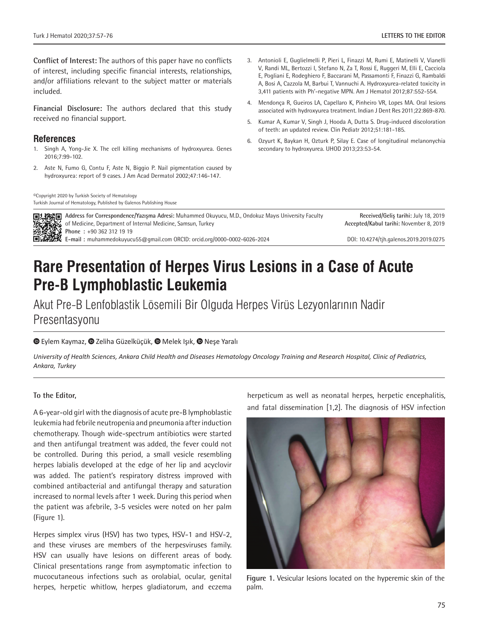**Conflict of Interest:** The authors of this paper have no conflicts of interest, including specific financial interests, relationships, and/or affiliations relevant to the subject matter or materials included.

**Financial Disclosure:** The authors declared that this study received no financial support.

## **References**

- 1. Singh A, Yong-Jie X. The cell killing mechanisms of hydroxyurea. Genes 2016;7:99-102.
- 2. Aste N, Fumo G, Contu F, Aste N, Biggio P. Nail pigmentation caused by hydroxyurea: report of 9 cases. J Am Acad Dermatol 2002;47:146-147.

©Copyright 2020 by Turkish Society of Hematology Turkish Journal of Hematology, Published by Galenos Publishing House

- 3. Antonioli E, Guglielmelli P, Pieri L, Finazzi M, Rumi E, Matinelli V, Vianelli V, Randi ML, Bertozzi I, Stefano N, Za T, Rossi E, Ruggeri M, Elli E, Cacciola E, Pogliani E, Rodeghiero F, Baccarani M, Passamonti F, Finazzi G, Rambaldi A, Bosi A, Cazzola M, Barbui T, Vannuchi A. Hydroxyurea-related toxicity in 3,411 patients with Ph'-negative MPN. Am J Hematol 2012;87:552-554.
- 4. Mendonça R, Gueiros LA, Capellaro K, Pinheiro VR, Lopes MA. Oral lesions associated with hydroxyurea treatment. Indian J Dent Res 2011;22:869-870.
- 5. Kumar A, Kumar V, Singh J, Hooda A, Dutta S. Drug-induced discoloration of teeth: an updated review. Clin Pediatr 2012;51:181-185.
- 6. Ozyurt K, Baykan H, Ozturk P, Silay E. Case of longitudinal melanonychia secondary to hydroxyurea. UHOD 2013;23:53-54.

**Address for Correspondence/Yazışma Adresi:** Muhammed Okuyucu, M.D., Ondokuz Mayıs University Faculty of Medicine, Department of Internal Medicine, Samsun, Turkey **Phone :** +90 362 312 19 19 **E-mail :** muhammedokuyucu55@gmail.com ORCID: orcid.org/0000-0002-6026-2024 **Received/Geliş tarihi:** July 18, 2019 **Accepted/Kabul tarihi:** November 8, 2019 DOI: 10.4274/tjh.galenos.2019.2019.0275

# **Rare Presentation of Herpes Virus Lesions in a Case of Acute Pre-B Lymphoblastic Leukemia**

Akut Pre-B Lenfoblastik Lösemili Bir Olguda Herpes Virüs Lezyonlarının Nadir Presentasyonu

#### **©**Eylem Kaymaz, © Zeliha Güzelküçük, © Melek Işık, © Neşe Yaralı

*University of Health Sciences, Ankara Child Health and Diseases Hematology Oncology Training and Research Hospital, Clinic of Pediatrics, Ankara, Turkey*

#### **To the Editor,**

A 6-year-old girl with the diagnosis of acute pre-B lymphoblastic leukemia had febrile neutropenia and pneumonia after induction chemotherapy. Though wide-spectrum antibiotics were started and then antifungal treatment was added, the fever could not be controlled. During this period, a small vesicle resembling herpes labialis developed at the edge of her lip and acyclovir was added. The patient's respiratory distress improved with combined antibacterial and antifungal therapy and saturation increased to normal levels after 1 week. During this period when the patient was afebrile, 3-5 vesicles were noted on her palm (Figure 1).

Herpes simplex virus (HSV) has two types, HSV-1 and HSV-2, and these viruses are members of the herpesviruses family. HSV can usually have lesions on different areas of body. Clinical presentations range from asymptomatic infection to mucocutaneous infections such as orolabial, ocular, genital herpes, herpetic whitlow, herpes gladiatorum, and eczema

herpeticum as well as neonatal herpes, herpetic encephalitis, and fatal dissemination [1,2]. The diagnosis of HSV infection



**Figure 1.** Vesicular lesions located on the hyperemic skin of the palm.